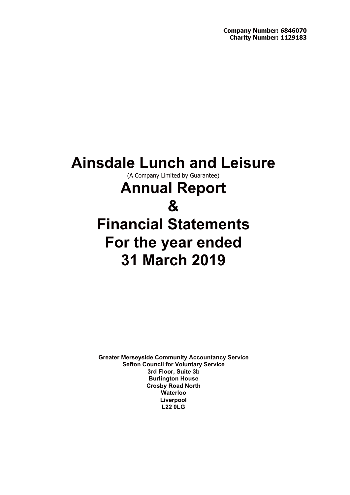# **Ainsdale Lunch and Leisure**

(A Company Limited by Guarantee)

# **Annual Report**

# **&**

# **Financial Statements For the year ended 31 March 2019**

**Greater Merseyside Community Accountancy Service Sefton Council for Voluntary Service 3rd Floor, Suite 3b Burlington House Crosby Road North Waterloo Liverpool L22 0LG**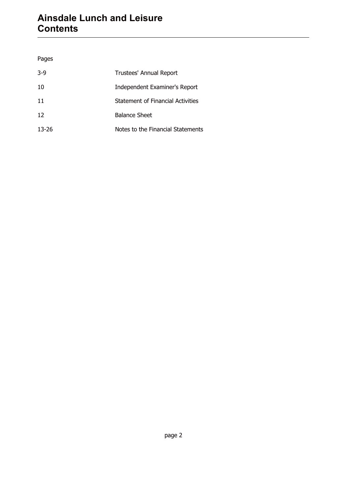# **Ainsdale Lunch and Leisure Contents**

### Pages

| $3-9$ | Trustees' Annual Report           |
|-------|-----------------------------------|
| 10    | Independent Examiner's Report     |
| 11    | Statement of Financial Activities |
| 12    | <b>Balance Sheet</b>              |
| 13-26 | Notes to the Financial Statements |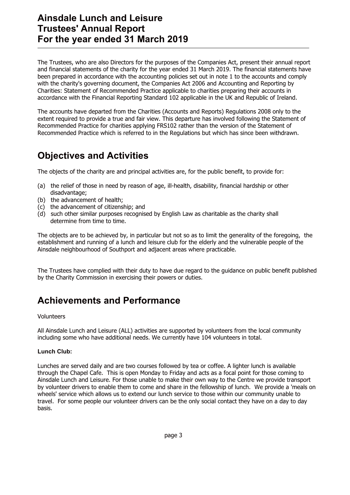# **Ainsdale Lunch and Leisure Trustees' Annual Report For the year ended 31 March 2019**

The Trustees, who are also Directors for the purposes of the Companies Act, present their annual report and financial statements of the charity for the year ended 31 March 2019. The financial statements have been prepared in accordance with the accounting policies set out in note 1 to the accounts and comply with the charity's governing document, the Companies Act 2006 and Accounting and Reporting by Charities: Statement of Recommended Practice applicable to charities preparing their accounts in accordance with the Financial Reporting Standard 102 applicable in the UK and Republic of Ireland.

The accounts have departed from the Charities (Accounts and Reports) Regulations 2008 only to the extent required to provide a true and fair view. This departure has involved following the Statement of Recommended Practice for charities applying FRS102 rather than the version of the Statement of Recommended Practice which is referred to in the Regulations but which has since been withdrawn.

# **Objectives and Activities**

The objects of the charity are and principal activities are, for the public benefit, to provide for:

- (a) the relief of those in need by reason of age, ill-health, disability, financial hardship or other disadvantage;
- (b) the advancement of health;
- (c) the advancement of citizenship; and
- (d) such other similar purposes recognised by English Law as charitable as the charity shall determine from time to time.

The objects are to be achieved by, in particular but not so as to limit the generality of the foregoing, the establishment and running of a lunch and leisure club for the elderly and the vulnerable people of the Ainsdale neighbourhood of Southport and adjacent areas where practicable.

The Trustees have complied with their duty to have due regard to the guidance on public benefit published by the Charity Commission in exercising their powers or duties.

# **Achievements and Performance**

#### Volunteers

All Ainsdale Lunch and Leisure (ALL) activities are supported by volunteers from the local community including some who have additional needs. We currently have 104 volunteers in total.

#### **Lunch Club:**

Lunches are served daily and are two courses followed by tea or coffee. A lighter lunch is available through the Chapel Cafe. This is open Monday to Friday and acts as a focal point for those coming to Ainsdale Lunch and Leisure. For those unable to make their own way to the Centre we provide transport by volunteer drivers to enable them to come and share in the fellowship of lunch. We provide a 'meals on wheels' service which allows us to extend our lunch service to those within our community unable to travel. For some people our volunteer drivers can be the only social contact they have on a day to day basis.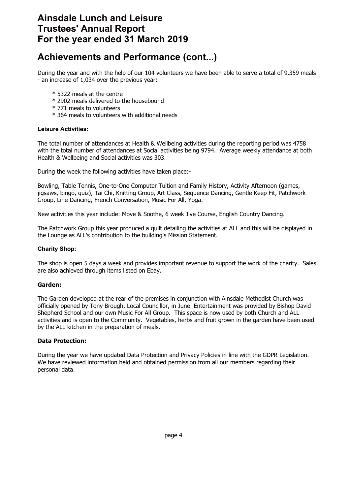# **Achievements and Performance (cont...)**

During the year and with the help of our 104 volunteers we have been able to serve a total of 9,359 meals - an increase of 1,034 over the previous year:

- \* 5322 meals at the centre
- \* 2902 meals delivered to the housebound
- \* 771 meals to volunteers
- \* 364 meals to volunteers with additional needs

#### **Leisure Activities:**

The total number of attendances at Health & Wellbeing activities during the reporting period was 4758 with the total number of attendances at Social activities being 9794. Average weekly attendance at both Health & Wellbeing and Social activities was 303.

During the week the following activities have taken place:-

Bowling, Table Tennis, One-to-One Computer Tuition and Family History, Activity Afternoon (games, jigsaws, bingo, quiz), Tai Chi, Knitting Group, Art Class, Sequence Dancing, Gentle Keep Fit, Patchwork Group, Line Dancing, French Conversation, Music For All, Yoga.

New activities this year include: Move & Soothe, 6 week Jive Course, English Country Dancing.

The Patchwork Group this year produced a quilt detailing the activities at ALL and this will be displayed in the Lounge as ALL's contribution to the building's Mission Statement.

#### **Charity Shop:**

The shop is open 5 days a week and provides important revenue to support the work of the charity. Sales are also achieved through items listed on Ebay.

#### **Garden:**

The Garden developed at the rear of the premises in conjunction with Ainsdale Methodist Church was officially opened by Tony Brough, Local Councillor, in June. Entertainment was provided by Bishop David Shepherd School and our own Music For All Group. This space is now used by both Church and ALL activities and is open to the Community. Vegetables, herbs and fruit grown in the garden have been used by the ALL kitchen in the preparation of meals.

#### **Data Protection:**

During the year we have updated Data Protection and Privacy Policies in line with the GDPR Legislation. We have reviewed information held and obtained permission from all our members regarding their personal data.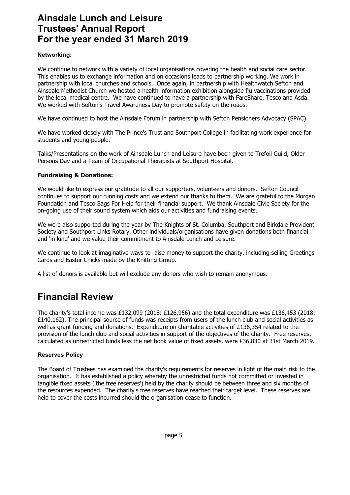# **Ainsdale Lunch and Leisure Trustees' Annual Report For the year ended 31 March 2019**

#### **Networking:**

We continue to network with a variety of local organisations covering the health and social care sector. This enables us to exchange information and on occasions leads to partnership working. We work in partnership with local churches and schools. Once again, in partnership with Healthwatch Sefton and Ainsdale Methodist Church we hosted a health information exhibition alongside flu vaccinations provided by the local medical centre. We have continued to have a partnership with FareShare, Tesco and Asda. We worked with Sefton's Travel Awareness Day to promote safety on the roads.

We have continued to host the Ainsdale Forum in partnership with Sefton Pensioners Advocacy (SPAC).

We have worked closely with The Prince's Trust and Southport College in facilitating work experience for students and young people.

Talks/Presentations on the work of Ainsdale Lunch and Leisure have been given to Trefoil Guild, Older Persons Day and a Team of Occupational Therapists at Southport Hospital.

#### **Fundraising & Donations:**

We would like to express our gratitude to all our supporters, volunteers and donors. Sefton Council continues to support our running costs and we extend our thanks to them. We are grateful to the Morgan Foundation and Tesco Bags For Help for their financial support. We thank Ainsdale Civic Society for the on-going use of their sound system which aids our activities and fundraising events.

We were also supported during the year by The Knights of St. Columba, Southport and Birkdale Provident Society and Southport Links Rotary. Other individuals/organisations have given donations both financial and 'in kind' and we value their commitment to Ainsdale Lunch and Leisure.

We continue to look at imaginative ways to raise money to support the charity, including selling Greetings Cards and Easter Chicks made by the Knitting Group.

A list of donors is available but will exclude any donors who wish to remain anonymous.

# **Financial Review**

The charity's total income was £132,099 (2018: £126,956) and the total expenditure was £136,453 (2018: £140,162). The principal source of funds was receipts from users of the lunch club and social activities as well as grant funding and donations. Expenditure on charitable activities of £136,354 related to the provision of the lunch club and social activities in support of the objectives of the charity. Free reserves, calculated as unrestricted funds less the net book value of fixed assets, were £36,830 at 31st March 2019.

#### **Reserves Policy**

The Board of Trustees has examined the charity's requirements for reserves in light of the main risk to the organisation. It has established a policy whereby the unrestricted funds not committed or invested in tangible fixed assets ('the free reserves') held by the charity should be between three and six months of the resources expended. The charity's free reserves have reached their target level. These reserves are held to cover the costs incurred should the organisation cease to function.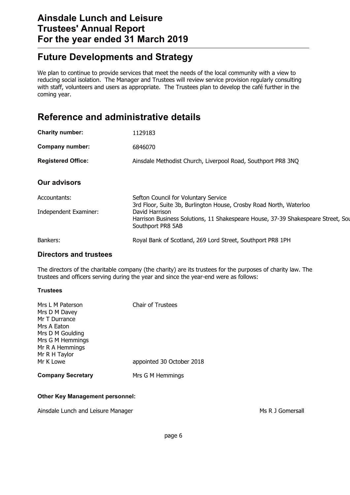# **Ainsdale Lunch and Leisure Trustees' Annual Report For the year ended 31 March 2019**

# **Future Developments and Strategy**

We plan to continue to provide services that meet the needs of the local community with a view to reducing social isolation. The Manager and Trustees will review service provision regularly consulting with staff, volunteers and users as appropriate. The Trustees plan to develop the café further in the coming year.

# **Reference and administrative details**

| <b>Charity number:</b>    | 1129183                                                                                                                 |
|---------------------------|-------------------------------------------------------------------------------------------------------------------------|
| Company number:           | 6846070                                                                                                                 |
| <b>Registered Office:</b> | Ainsdale Methodist Church, Liverpool Road, Southport PR8 3NQ                                                            |
| <b>Our advisors</b>       |                                                                                                                         |
| Accountants:              | Sefton Council for Voluntary Service<br>3rd Floor, Suite 3b, Burlington House, Crosby Road North, Waterloo              |
| Independent Examiner:     | David Harrison<br>Harrison Business Solutions, 11 Shakespeare House, 37-39 Shakespeare Street, Sou<br>Southport PR8 5AB |
| Bankers:                  | Royal Bank of Scotland, 269 Lord Street, Southport PR8 1PH                                                              |
|                           |                                                                                                                         |

### **Directors and trustees**

The directors of the charitable company (the charity) are its trustees for the purposes of charity law. The trustees and officers serving during the year and since the year-end were as follows:

#### **Trustees**

| Mrs L M Paterson<br>Mrs D M Davey<br>Mr T Durrance<br>Mrs A Eaton<br>Mrs D M Goulding<br>Mrs G M Hemmings<br>Mr R A Hemmings<br>Mr R H Taylor | <b>Chair of Trustees</b>  |
|-----------------------------------------------------------------------------------------------------------------------------------------------|---------------------------|
| Mr K Lowe                                                                                                                                     | appointed 30 October 2018 |
| <b>Company Secretary</b>                                                                                                                      | Mrs G M Hemmings          |

#### **Other Key Management personnel:**

Ainsdale Lunch and Leisure Manager Manager Music et al. Ainsdale Lunch and Leisure Manager Music et al. Ainsdale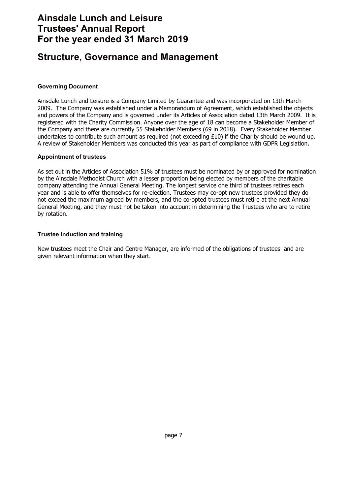# **Structure, Governance and Management**

#### **Governing Document**

Ainsdale Lunch and Leisure is a Company Limited by Guarantee and was incorporated on 13th March 2009. The Company was established under a Memorandum of Agreement, which established the objects and powers of the Company and is governed under its Articles of Association dated 13th March 2009. It is registered with the Charity Commission. Anyone over the age of 18 can become a Stakeholder Member of the Company and there are currently 55 Stakeholder Members (69 in 2018). Every Stakeholder Member undertakes to contribute such amount as required (not exceeding  $£10$ ) if the Charity should be wound up. A review of Stakeholder Members was conducted this year as part of compliance with GDPR Legislation.

#### **Appointment of trustees**

As set out in the Articles of Association 51% of trustees must be nominated by or approved for nomination by the Ainsdale Methodist Church with a lesser proportion being elected by members of the charitable company attending the Annual General Meeting. The longest service one third of trustees retires each year and is able to offer themselves for re-election. Trustees may co-opt new trustees provided they do not exceed the maximum agreed by members, and the co-opted trustees must retire at the next Annual General Meeting, and they must not be taken into account in determining the Trustees who are to retire by rotation.

#### **Trustee induction and training**

New trustees meet the Chair and Centre Manager, are informed of the obligations of trustees and are given relevant information when they start.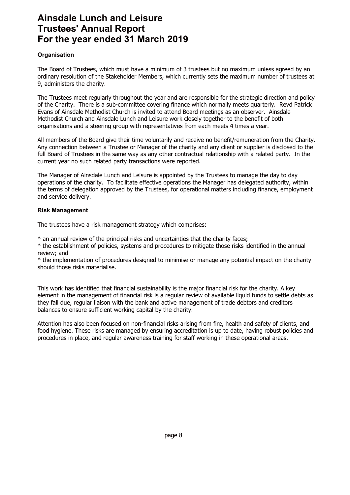# **Ainsdale Lunch and Leisure Trustees' Annual Report For the year ended 31 March 2019**

#### **Organisation**

The Board of Trustees, which must have a minimum of 3 trustees but no maximum unless agreed by an ordinary resolution of the Stakeholder Members, which currently sets the maximum number of trustees at 9, administers the charity.

The Trustees meet regularly throughout the year and are responsible for the strategic direction and policy of the Charity. There is a sub-committee covering finance which normally meets quarterly. Revd Patrick Evans of Ainsdale Methodist Church is invited to attend Board meetings as an observer. Ainsdale Methodist Church and Ainsdale Lunch and Leisure work closely together to the benefit of both organisations and a steering group with representatives from each meets 4 times a year.

All members of the Board give their time voluntarily and receive no benefit/remuneration from the Charity. Any connection between a Trustee or Manager of the charity and any client or supplier is disclosed to the full Board of Trustees in the same way as any other contractual relationship with a related party. In the current year no such related party transactions were reported.

The Manager of Ainsdale Lunch and Leisure is appointed by the Trustees to manage the day to day operations of the charity. To facilitate effective operations the Manager has delegated authority, within the terms of delegation approved by the Trustees, for operational matters including finance, employment and service delivery.

#### **Risk Management**

The trustees have a risk management strategy which comprises:

\* an annual review of the principal risks and uncertainties that the charity faces;

\* the establishment of policies, systems and procedures to mitigate those risks identified in the annual review; and

\* the implementation of procedures designed to minimise or manage any potential impact on the charity should those risks materialise.

This work has identified that financial sustainability is the major financial risk for the charity. A key element in the management of financial risk is a regular review of available liquid funds to settle debts as they fall due, regular liaison with the bank and active management of trade debtors and creditors balances to ensure sufficient working capital by the charity.

Attention has also been focused on non-financial risks arising from fire, health and safety of clients, and food hygiene. These risks are managed by ensuring accreditation is up to date, having robust policies and procedures in place, and regular awareness training for staff working in these operational areas.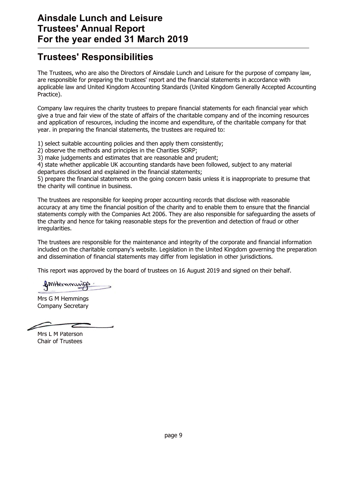# **Trustees' Responsibilities**

The Trustees, who are also the Directors of Ainsdale Lunch and Leisure for the purpose of company law, are responsible for preparing the trustees' report and the financial statements in accordance with applicable law and United Kingdom Accounting Standards (United Kingdom Generally Accepted Accounting Practice).

Company law requires the charity trustees to prepare financial statements for each financial year which give a true and fair view of the state of affairs of the charitable company and of the incoming resources and application of resources, including the income and expenditure, of the charitable company for that year. in preparing the financial statements, the trustees are required to:

1) select suitable accounting policies and then apply them consistently;

2) observe the methods and principles in the Charities SORP;

3) make judgements and estimates that are reasonable and prudent;

4) state whether applicable UK accounting standards have been followed, subject to any material

departures disclosed and explained in the financial statements;

5) prepare the financial statements on the going concern basis unless it is inappropriate to presume that the charity will continue in business.

The trustees are responsible for keeping proper accounting records that disclose with reasonable accuracy at any time the financial position of the charity and to enable them to ensure that the financial statements comply with the Companies Act 2006. They are also responsible for safeguarding the assets of the charity and hence for taking reasonable steps for the prevention and detection of fraud or other irregularities.

The trustees are responsible for the maintenance and integrity of the corporate and financial information included on the charitable company's website. Legislation in the United Kingdom governing the preparation and dissemination of financial statements may differ from legislation in other jurisdictions.

This report was approved by the board of trustees on 16 August 2019 and signed on their behalf.

ImHernming

Mrs G M Hemmings Company Secretary

Mrs L M Paterson Chair of Trustees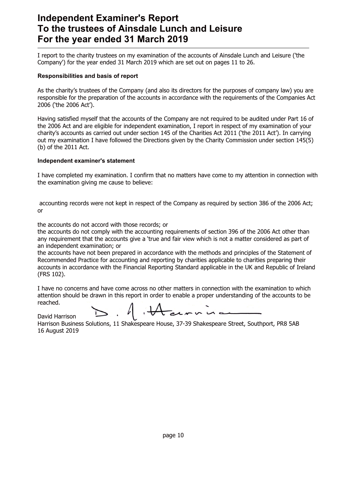# **Independent Examiner's Report To the trustees of Ainsdale Lunch and Leisure For the year ended 31 March 2019**

I report to the charity trustees on my examination of the accounts of Ainsdale Lunch and Leisure ('the Company') for the year ended 31 March 2019 which are set out on pages 11 to 26.

#### **Responsibilities and basis of report**

As the charity's trustees of the Company (and also its directors for the purposes of company law) you are responsible for the preparation of the accounts in accordance with the requirements of the Companies Act 2006 ('the 2006 Act').

Having satisfied myself that the accounts of the Company are not required to be audited under Part 16 of the 2006 Act and are eligible for independent examination, I report in respect of my examination of your charity's accounts as carried out under section 145 of the Charities Act 2011 ('the 2011 Act'). In carrying out my examination I have followed the Directions given by the Charity Commission under section 145(5) (b) of the 2011 Act.

#### **Independent examiner's statement**

I have completed my examination. I confirm that no matters have come to my attention in connection with the examination giving me cause to believe:

accounting records were not kept in respect of the Company as required by section 386 of the 2006 Act; or

the accounts do not accord with those records; or

the accounts do not comply with the accounting requirements of section 396 of the 2006 Act other than any requirement that the accounts give a 'true and fair view which is not a matter considered as part of an independent examination; or

the accounts have not been prepared in accordance with the methods and principles of the Statement of Recommended Practice for accounting and reporting by charities applicable to charities preparing their accounts in accordance with the Financial Reporting Standard applicable in the UK and Republic of Ireland (FRS 102).

I have no concerns and have come across no other matters in connection with the examination to which attention should be drawn in this report in order to enable a proper understanding of the accounts to be reached.

A Aurica David Harrison

Harrison Business Solutions, 11 Shakespeare House, 37-39 Shakespeare Street, Southport, PR8 5AB 16 August 2019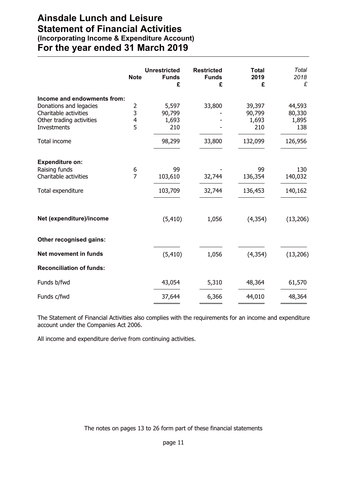## **Ainsdale Lunch and Leisure Statement of Financial Activities (Incorporating Income & Expenditure Account) For the year ended 31 March 2019**

|                                                   | <b>Note</b>    | <b>Unrestricted</b><br><b>Funds</b><br>£ | <b>Restricted</b><br><b>Funds</b><br>£ | <b>Total</b><br>2019<br>£ | <b>Total</b><br>2018<br>£ |
|---------------------------------------------------|----------------|------------------------------------------|----------------------------------------|---------------------------|---------------------------|
| Income and endowments from:                       |                |                                          |                                        |                           |                           |
| Donations and legacies                            | 2<br>3         | 5,597                                    | 33,800                                 | 39,397                    | 44,593                    |
| Charitable activities<br>Other trading activities | 4              | 90,799<br>1,693                          |                                        | 90,799<br>1,693           | 80,330<br>1,895           |
| Investments                                       | 5              | 210                                      |                                        | 210                       | 138                       |
| Total income                                      |                | 98,299                                   | 33,800                                 | 132,099                   | 126,956                   |
| <b>Expenditure on:</b>                            |                |                                          |                                        |                           |                           |
| Raising funds                                     | 6              | 99                                       |                                        | 99                        | 130                       |
| Charitable activities                             | $\overline{7}$ | 103,610                                  | 32,744                                 | 136,354                   | 140,032                   |
| Total expenditure                                 |                | 103,709                                  | 32,744                                 | 136,453                   | 140,162                   |
| Net (expenditure)/income                          |                | (5, 410)                                 | 1,056                                  | (4, 354)                  | (13, 206)                 |
| Other recognised gains:                           |                |                                          |                                        |                           |                           |
| <b>Net movement in funds</b>                      |                | (5, 410)                                 | 1,056                                  | (4, 354)                  | (13, 206)                 |
| <b>Reconciliation of funds:</b>                   |                |                                          |                                        |                           |                           |
| Funds b/fwd                                       |                | 43,054                                   | 5,310                                  | 48,364                    | 61,570                    |
| Funds c/fwd                                       |                | 37,644                                   | 6,366                                  | 44,010                    | 48,364                    |

The Statement of Financial Activities also complies with the requirements for an income and expenditure account under the Companies Act 2006.

All income and expenditure derive from continuing activities.

The notes on pages 13 to 26 form part of these financial statements

page 11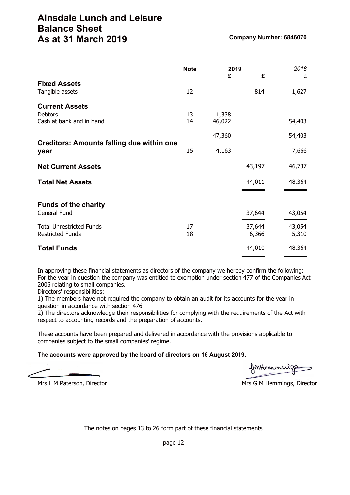|                                                                     | <b>Note</b> | 2019<br>£       | £               | 2018<br>£       |
|---------------------------------------------------------------------|-------------|-----------------|-----------------|-----------------|
| <b>Fixed Assets</b><br>Tangible assets                              | 12          |                 | 814             | 1,627           |
| <b>Current Assets</b><br><b>Debtors</b><br>Cash at bank and in hand | 13<br>14    | 1,338<br>46,022 |                 | 54,403          |
|                                                                     |             | 47,360          |                 | 54,403          |
| <b>Creditors: Amounts falling due within one</b><br>year            | 15          | 4,163           |                 | 7,666           |
| <b>Net Current Assets</b>                                           |             |                 | 43,197          | 46,737          |
| <b>Total Net Assets</b>                                             |             |                 | 44,011          | 48,364          |
| <b>Funds of the charity</b><br>General Fund                         |             |                 | 37,644          | 43,054          |
| <b>Total Unrestricted Funds</b><br><b>Restricted Funds</b>          | 17<br>18    |                 | 37,644<br>6,366 | 43,054<br>5,310 |
| <b>Total Funds</b>                                                  |             |                 | 44,010          | 48,364          |

In approving these financial statements as directors of the company we hereby confirm the following: For the year in question the company was entitled to exemption under section 477 of the Companies Act 2006 relating to small companies.

Directors' responsibilities:

1) The members have not required the company to obtain an audit for its accounts for the year in question in accordance with section 476.

2) The directors acknowledge their responsibilities for complying with the requirements of the Act with respect to accounting records and the preparation of accounts.

These accounts have been prepared and delivered in accordance with the provisions applicable to companies subject to the small companies' regime.

#### **The accounts were approved by the board of directors on 16 August 2019.**

fontemmuig

Mrs L M Paterson, Director Mrs G M Hemmings, Director

The notes on pages 13 to 26 form part of these financial statements

page 12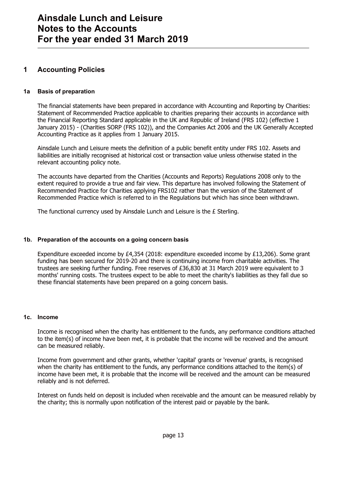### **1 Accounting Policies**

#### **1a Basis of preparation**

The financial statements have been prepared in accordance with Accounting and Reporting by Charities: Statement of Recommended Practice applicable to charities preparing their accounts in accordance with the Financial Reporting Standard applicable in the UK and Republic of Ireland (FRS 102) (effective 1 January 2015) - (Charities SORP (FRS 102)), and the Companies Act 2006 and the UK Generally Accepted Accounting Practice as it applies from 1 January 2015.

Ainsdale Lunch and Leisure meets the definition of a public benefit entity under FRS 102. Assets and liabilities are initially recognised at historical cost or transaction value unless otherwise stated in the relevant accounting policy note.

The accounts have departed from the Charities (Accounts and Reports) Regulations 2008 only to the extent required to provide a true and fair view. This departure has involved following the Statement of Recommended Practice for Charities applying FRS102 rather than the version of the Statement of Recommended Practice which is referred to in the Regulations but which has since been withdrawn.

The functional currency used by Ainsdale Lunch and Leisure is the £ Sterling.

#### **1b. Preparation of the accounts on a going concern basis**

Expenditure exceeded income by £4,354 (2018: expenditure exceeded income by £13,206). Some grant funding has been secured for 2019-20 and there is continuing income from charitable activities. The trustees are seeking further funding. Free reserves of £36,830 at 31 March 2019 were equivalent to 3 months' running costs. The trustees expect to be able to meet the charity's liabilities as they fall due so these financial statements have been prepared on a going concern basis.

#### **1c. Income**

Income is recognised when the charity has entitlement to the funds, any performance conditions attached to the item(s) of income have been met, it is probable that the income will be received and the amount can be measured reliably.

Income from government and other grants, whether 'capital' grants or 'revenue' grants, is recognised when the charity has entitlement to the funds, any performance conditions attached to the item(s) of income have been met, it is probable that the income will be received and the amount can be measured reliably and is not deferred.

Interest on funds held on deposit is included when receivable and the amount can be measured reliably by the charity; this is normally upon notification of the interest paid or payable by the bank.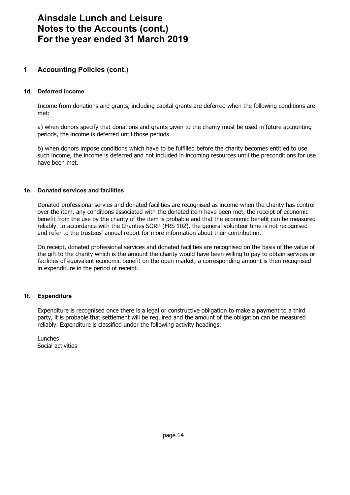### **1 Accounting Policies (cont.)**

#### **1d. Deferred income**

Income from donations and grants, including capital grants are deferred when the following conditions are met:

a) when donors specify that donations and grants given to the charity must be used in future accounting periods, the income is deferred until those periods

b) when donors impose conditions which have to be fulfilled before the charity becomes entitled to use such income, the income is deferred and not included in incoming resources until the preconditions for use have been met.

#### **1e. Donated services and facilities**

Donated professional servies and donated facilities are recognised as income when the charity has control over the item, any conditions associated with the donated item have been met, the receipt of economic benefit from the use by the charity of the item is probable and that the economic benefit can be measured reliably. In accordance with the Charities SORP (FRS 102), the general volunteer time is not recognised and refer to the trustees' annual report for more information about their contribution.

On receipt, donated professional services and donated facilities are recognised on the basis of the value of the gift to the charity which is the amount the charity would have been willing to pay to obtain services or facilities of equivalent economic benefit on the open market; a corresponding amount is then recognised in expenditure in the period of receipt.

#### **1f. Expenditure**

Expenditure is recognised once there is a legal or constructive obligation to make a payment to a third party, it is probable that settlement will be required and the amount of the obligation can be measured reliably. Expenditure is classified under the following activity headings:

Lunches Social activities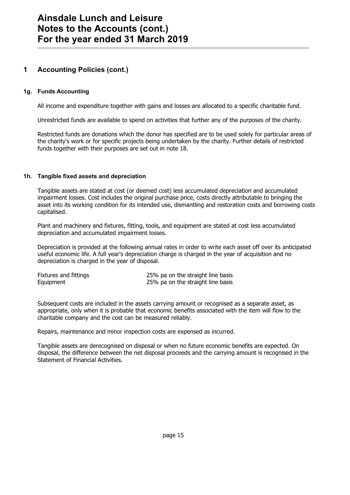### **1 Accounting Policies (cont.)**

#### **1g. Funds Accounting**

All income and expenditure together with gains and losses are allocated to a specific charitable fund.

Unrestricted funds are available to spend on activities that further any of the purposes of the charity.

Restricted funds are donations which the donor has specified are to be used solely for particular areas of the charity's work or for specific projects being undertaken by the charity. Further details of restricted funds together with their purposes are set out in note 18.

#### **1h. Tangible fixed assets and depreciation**

Tangible assets are stated at cost (or deemed cost) less accumulated depreciation and accumulated impairment losses. Cost includes the original purchase price, costs directly attributable to bringing the asset into its working condition for its intended use, dismantling and restoration costs and borrowing costs capitalised.

Plant and machinery and fixtures, fitting, tools, and equipment are stated at cost less accumulated depreciation and accumulated impairment losses.

Depreciation is provided at the following annual rates in order to write each asset off over its anticipated useful economic life. A full year's depreciation charge is charged in the year of acquisition and no depreciation is charged in the year of disposal.

| Fixtures and fittings | 25% pa on the straight line basis |
|-----------------------|-----------------------------------|
| Equipment             | 25% pa on the straight line basis |

Subsequent costs are included in the assets carrying amount or recognised as a separate asset, as appropriate, only when it is probable that economic benefits associated with the item will flow to the charitable company and the cost can be measured reliably.

Repairs, maintenance and minor inspection costs are expensed as incurred.

Tangible assets are derecognised on disposal or when no future economic benefits are expected. On disposal, the difference between the net disposal proceeds and the carrying amount is recognised in the Statement of Financial Activities.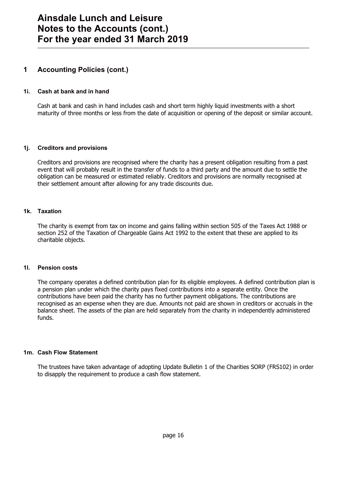### **1 Accounting Policies (cont.)**

#### **1i. Cash at bank and in hand**

Cash at bank and cash in hand includes cash and short term highly liquid investments with a short maturity of three months or less from the date of acquisition or opening of the deposit or similar account.

#### **1j. Creditors and provisions**

Creditors and provisions are recognised where the charity has a present obligation resulting from a past event that will probably result in the transfer of funds to a third party and the amount due to settle the obligation can be measured or estimated reliably. Creditors and provisions are normally recognised at their settlement amount after allowing for any trade discounts due.

#### **1k. Taxation**

The charity is exempt from tax on income and gains falling within section 505 of the Taxes Act 1988 or section 252 of the Taxation of Chargeable Gains Act 1992 to the extent that these are applied to its charitable objects.

#### **1l. Pension costs**

The company operates a defined contribution plan for its eligible employees. A defined contribution plan is a pension plan under which the charity pays fixed contributions into a separate entity. Once the contributions have been paid the charity has no further payment obligations. The contributions are recognised as an expense when they are due. Amounts not paid are shown in creditors or accruals in the balance sheet. The assets of the plan are held separately from the charity in independently administered funds.

#### **1m. Cash Flow Statement**

The trustees have taken advantage of adopting Update Bulletin 1 of the Charities SORP (FRS102) in order to disapply the requirement to produce a cash flow statement.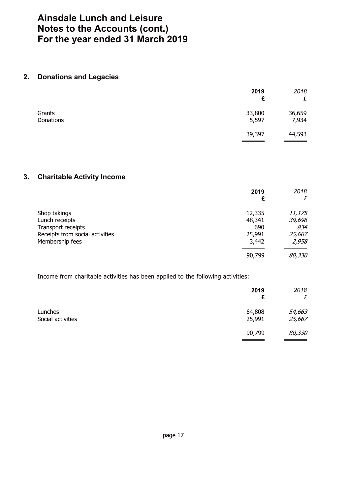### **2. Donations and Legacies**

|                     | 2019<br>£       | 2018<br>£       |
|---------------------|-----------------|-----------------|
| Grants<br>Donations | 33,800<br>5,597 | 36,659<br>7,934 |
|                     | 39,397          | 44,593          |

### **3. Charitable Activity Income**

|                                 | 2019<br>£ | 2018<br>£ |
|---------------------------------|-----------|-----------|
| Shop takings                    | 12,335    | 11,175    |
| Lunch receipts                  | 48,341    | 39,696    |
| Transport receipts              | 690       | 834       |
| Receipts from social activities | 25,991    | 25,667    |
| Membership fees                 | 3,442     | 2,958     |
|                                 | 90,799    | 80,330    |

Income from charitable activities has been applied to the following activities:

|                              | 2019<br>£        | 2018<br>£        |
|------------------------------|------------------|------------------|
| Lunches<br>Social activities | 64,808<br>25,991 | 54,663<br>25,667 |
|                              | 90,799           | 80,330           |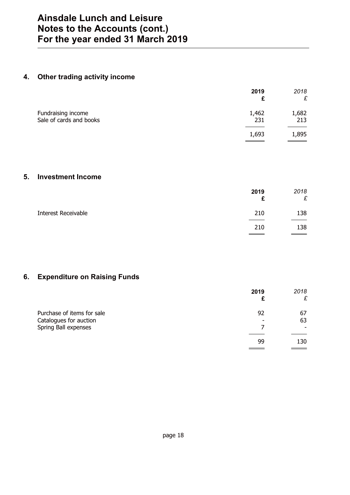## **4. Other trading activity income**

|                                               | 2019         | 2018<br>£                               |
|-----------------------------------------------|--------------|-----------------------------------------|
| Fundraising income<br>Sale of cards and books | 1,462<br>231 | 1,682<br>213                            |
|                                               | 1,693        | 1,895<br><b>STATE OF STATE OF STATE</b> |

### **5. Investment Income**

|                            | 2019<br>£ | 2018<br>£ |
|----------------------------|-----------|-----------|
| <b>Interest Receivable</b> | 210       | 138       |
|                            | 210       | 138       |
|                            |           |           |

### **6. Expenditure on Raising Funds**

|                            | 2019 | 2018<br>£ |
|----------------------------|------|-----------|
| Purchase of items for sale | 92   | 67        |
| Catalogues for auction     | ۰    | 63        |
| Spring Ball expenses       |      |           |
|                            | 99   | 130       |
|                            |      |           |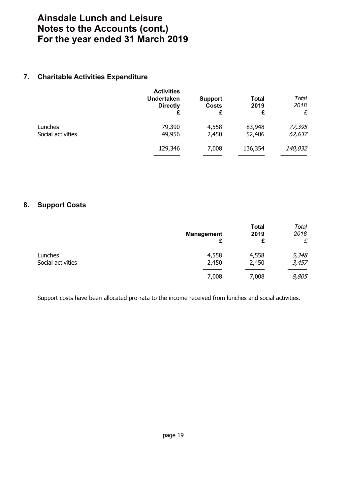### **7. Charitable Activities Expenditure**

|                              | <b>Activities</b><br><b>Undertaken</b><br><b>Directly</b><br>£ | <b>Support</b><br><b>Costs</b><br>£ | <b>Total</b><br>2019<br>£ | Total<br>2018<br>£ |
|------------------------------|----------------------------------------------------------------|-------------------------------------|---------------------------|--------------------|
| Lunches<br>Social activities | 79,390<br>49,956                                               | 4,558<br>2,450                      | 83,948<br>52,406          | 77,395<br>62,637   |
|                              | 129,346                                                        | 7,008                               | 136,354                   | 140,032            |

### **8. Support Costs**

| <b>Management</b><br>£ | <b>Total</b><br>2019<br>£ | Total<br>2018<br>£ |
|------------------------|---------------------------|--------------------|
| 4,558                  | 4,558                     | 5,348              |
| 2,450                  | 2,450                     | 3,457              |
| 7,008                  | 7,008                     | 8,805              |
|                        |                           |                    |

Support costs have been allocated pro-rata to the income received from lunches and social activities.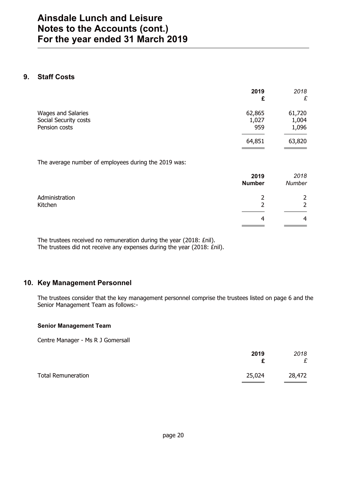### **9. Staff Costs**

|                                                              | 2019<br>£              | 2018<br>£                |
|--------------------------------------------------------------|------------------------|--------------------------|
| Wages and Salaries<br>Social Security costs<br>Pension costs | 62,865<br>1,027<br>959 | 61,720<br>1,004<br>1,096 |
|                                                              | 64,851                 | 63,820                   |

The average number of employees during the 2019 was:

|                           | 2019<br><b>Number</b> | 2018<br>Number      |
|---------------------------|-----------------------|---------------------|
| Administration<br>Kitchen |                       | 2<br>$\overline{2}$ |
|                           | 4                     | 4                   |

The trustees received no remuneration during the year (2018: £nil). The trustees did not receive any expenses during the year (2018: £nil).

### **10. Key Management Personnel**

The trustees consider that the key management personnel comprise the trustees listed on page 6 and the Senior Management Team as follows:-

#### **Senior Management Team**

Centre Manager - Ms R J Gomersall

|                           | 2019<br>c | 2018<br>£ |
|---------------------------|-----------|-----------|
| <b>Total Remuneration</b> | 25,024    | 28,472    |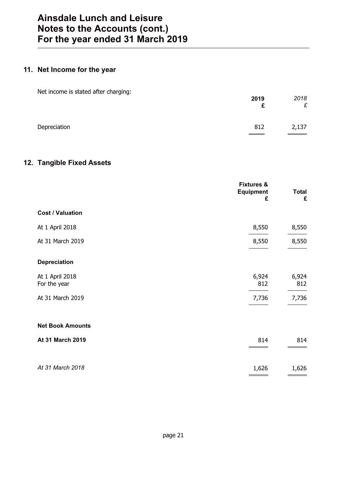# **11. Net Income for the year**

| Net income is stated after charging: | 2019<br>£ | 2018<br>£ |
|--------------------------------------|-----------|-----------|
| Depreciation                         | 812       | 2,137     |

### **12. Tangible Fixed Assets**

|                                 | <b>Fixtures &amp;</b><br><b>Equipment</b><br>£ | <b>Total</b><br>£ |
|---------------------------------|------------------------------------------------|-------------------|
| <b>Cost / Valuation</b>         |                                                |                   |
| At 1 April 2018                 | 8,550                                          | 8,550             |
| At 31 March 2019                | 8,550                                          | 8,550             |
| <b>Depreciation</b>             |                                                |                   |
| At 1 April 2018<br>For the year | 6,924<br>812                                   | 6,924<br>812      |
| At 31 March 2019                | 7,736                                          | 7,736             |
| <b>Net Book Amounts</b>         |                                                |                   |
| At 31 March 2019                | 814                                            | 814               |
| At 31 March 2018                | 1,626                                          | 1,626             |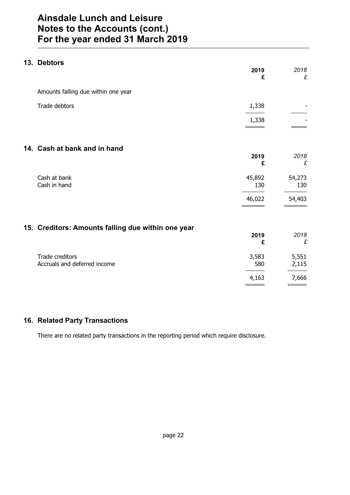### **13. Debtors**

|                                                    | 2019<br>£     | 2018<br>£      |
|----------------------------------------------------|---------------|----------------|
| Amounts falling due within one year                |               |                |
| Trade debtors                                      | 1,338         |                |
|                                                    | 1,338         |                |
| 14. Cash at bank and in hand                       |               |                |
|                                                    | 2019<br>£     | 2018<br>£      |
| Cash at bank<br>Cash in hand                       | 45,892<br>130 | 54,273<br>130  |
|                                                    | 46,022        | 54,403         |
| 15. Creditors: Amounts falling due within one year |               |                |
|                                                    | 2019<br>£     | 2018<br>£      |
| Trade creditors<br>Accruals and deferred income    | 3,583<br>580  | 5,551<br>2,115 |
|                                                    | 4,163         | 7,666          |
|                                                    |               |                |

### **16. Related Party Transactions**

There are no related party transactions in the reporting period which require disclosure.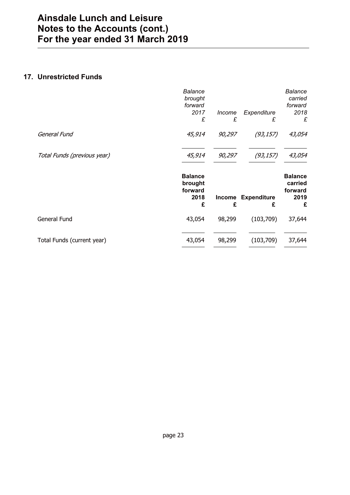### **17. Unrestricted Funds**

|                             | <b>Balance</b><br>brought<br>forward              |             |                         | <b>Balance</b><br>carried<br>forward              |
|-----------------------------|---------------------------------------------------|-------------|-------------------------|---------------------------------------------------|
|                             | 2017<br>£                                         | Income<br>£ | Expenditure<br>£        | 2018<br>£                                         |
| General Fund                | 45,914                                            | 90,297      | (93, 157)               | 43,054                                            |
| Total Funds (previous year) | 45,914                                            | 90,297      | (93, 157)               | 43,054                                            |
|                             |                                                   |             |                         |                                                   |
|                             | <b>Balance</b><br>brought<br>forward<br>2018<br>£ | Income<br>£ | <b>Expenditure</b><br>£ | <b>Balance</b><br>carried<br>forward<br>2019<br>£ |
| General Fund                | 43,054                                            | 98,299      | (103,709)               | 37,644                                            |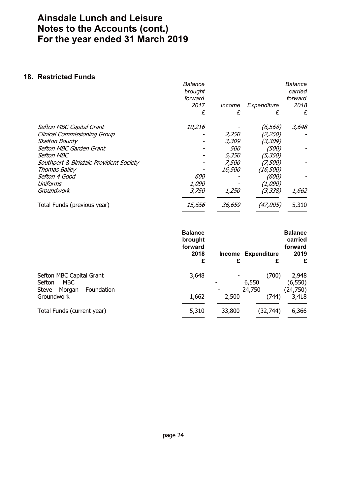### **18. Restricted Funds**

|                                        | Balance<br>brought |            |             | <b>Balance</b><br>carried |
|----------------------------------------|--------------------|------------|-------------|---------------------------|
|                                        | forward            |            |             | forward                   |
|                                        | 2017               | Income     | Expenditure | 2018                      |
|                                        | £                  | £          | £           | £                         |
| Sefton MBC Capital Grant               | 10,216             |            | (6, 568)    | 3,648                     |
| <b>Clinical Commissioning Group</b>    |                    | 2,250      | (2,250)     |                           |
| Skelton Bounty                         |                    | 3,309      | (3,309)     |                           |
| Sefton MBC Garden Grant                |                    | <i>500</i> | (500)       |                           |
| <b>Sefton MBC</b>                      |                    | 5,350      | (5,350)     |                           |
| Southport & Birkdale Provident Society |                    | 7,500      | (7,500)     |                           |
| <b>Thomas Bailey</b>                   |                    | 16,500     | (16, 500)   |                           |
| Sefton 4 Good                          | 600                |            | (600)       |                           |
| Uniforms                               | 1,090              |            | (1,090)     |                           |
| Groundwork                             | 3,750              | 1,250      | (3,338)     | 1,662                     |
| Total Funds (previous year)            | 15,656             | 36,659     | (47,005)    | 5,310                     |
|                                        |                    |            |             |                           |

|                                                                            | <b>Balance</b><br>brought<br>forward<br>2018<br>£ | <b>Income</b><br>£       | <b>Expenditure</b><br>£  | <b>Balance</b><br>carried<br>forward<br>2019<br>£ |
|----------------------------------------------------------------------------|---------------------------------------------------|--------------------------|--------------------------|---------------------------------------------------|
| Sefton MBC Capital Grant<br>Sefton<br>MBC<br>Foundation<br>Steve<br>Morgan | 3,648                                             | $\overline{\phantom{0}}$ | (700)<br>6,550<br>24,750 | 2,948<br>(6, 550)<br>(24,750)                     |
| Groundwork                                                                 | 1,662                                             | 2,500                    | (744)                    | 3,418                                             |
| Total Funds (current year)                                                 | 5,310                                             | 33,800                   | (32,744)                 | 6,366                                             |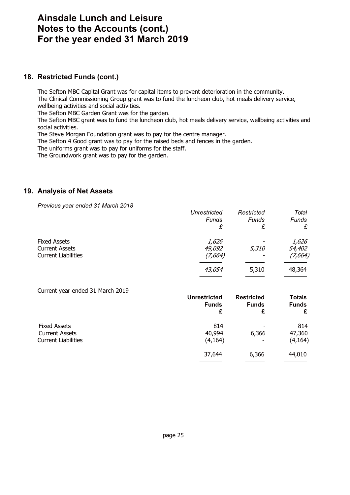### **18. Restricted Funds (cont.)**

The Sefton MBC Capital Grant was for capital items to prevent deterioration in the community. The Clinical Commissioning Group grant was to fund the luncheon club, hot meals delivery service, wellbeing activities and social activities.

The Sefton MBC Garden Grant was for the garden.

The Sefton MBC grant was to fund the luncheon club, hot meals delivery service, wellbeing activities and social activities.

The Steve Morgan Foundation grant was to pay for the centre manager.

The Sefton 4 Good grant was to pay for the raised beds and fences in the garden.

The uniforms grant was to pay for uniforms for the staff.

The Groundwork grant was to pay for the garden.

### **19. Analysis of Net Assets**

*Previous year ended 31 March 2018*

|                            | Unrestricted | Restricted | <b>Total</b> |
|----------------------------|--------------|------------|--------------|
|                            | Funds        | Funds      | Funds        |
|                            | £            | £          | £            |
| <b>Fixed Assets</b>        | 1,626        |            | 1,626        |
| <b>Current Assets</b>      | 49,092       | 5,310      | 54,402       |
| <b>Current Liabilities</b> | (7,664)      |            | (7,664)      |
|                            | 43,054       | 5,310      | 48,364       |
|                            |              |            |              |

| Current year ended 31 March 2019 | <b>Unrestricted</b> | <b>Restricted</b>        | <b>Totals</b>     |
|----------------------------------|---------------------|--------------------------|-------------------|
|                                  | <b>Funds</b><br>£   | <b>Funds</b><br>£        | <b>Funds</b><br>£ |
| <b>Fixed Assets</b>              | 814                 | ٠                        | 814               |
| <b>Current Assets</b>            | 40,994              | 6,366                    | 47,360            |
| <b>Current Liabilities</b>       | (4, 164)            | $\overline{\phantom{0}}$ | (4, 164)          |
|                                  | 37,644              | 6,366                    | 44,010            |